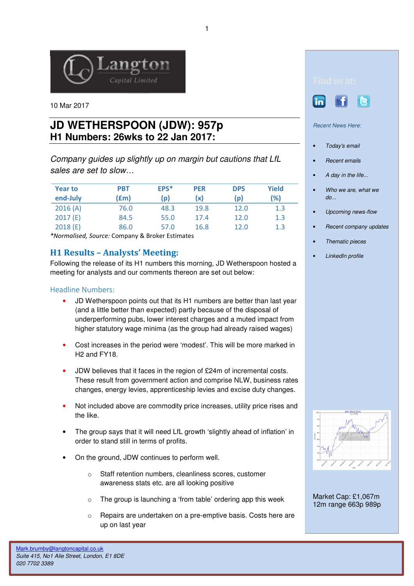

10 Mar 2017

## **JD WETHERSPOON (JDW): 957p H1 Numbers: 26wks to 22 Jan 2017:**

Company guides up slightly up on margin but cautions that LfL sales are set to slow…

| <b>Year to</b><br>end-July | <b>PBT</b><br>(£m) | EPS*<br>(p) | <b>PER</b><br>(x) | <b>DPS</b><br>(p) | <b>Yield</b><br>(%) |
|----------------------------|--------------------|-------------|-------------------|-------------------|---------------------|
| 2016(A)                    | 76.0               | 48.3        | 19.8              | 12.0              | 1.3                 |
| 2017(E)                    | 84.5               | 55.0        | 17.4              | 12.0              | 1.3                 |
| 2018(E)                    | 86.0               | 57.0        | 16.8              | 12.0              | 1.3                 |

\*Normalised, Source: Company & Broker Estimates

## H1 Results – Analysts' Meeting:

Following the release of its H1 numbers this morning, JD Wetherspoon hosted a meeting for analysts and our comments thereon are set out below:

## Headline Numbers:

- JD Wetherspoon points out that its H1 numbers are better than last year (and a little better than expected) partly because of the disposal of underperforming pubs, lower interest charges and a muted impact from higher statutory wage minima (as the group had already raised wages)
- Cost increases in the period were 'modest'. This will be more marked in H2 and FY18.
- JDW believes that it faces in the region of £24m of incremental costs. These result from government action and comprise NLW, business rates changes, energy levies, apprenticeship levies and excise duty changes.
- Not included above are commodity price increases, utility price rises and the like.
- The group says that it will need LfL growth 'slightly ahead of inflation' in order to stand still in terms of profits.
- On the ground, JDW continues to perform well.
	- o Staff retention numbers, cleanliness scores, customer awareness stats etc. are all looking positive
	- $\circ$  The group is launching a 'from table' ordering app this week
	- o Repairs are undertaken on a pre-emptive basis. Costs here are up on last year





Recent News Here:

- Today's email
- Recent emails
- A day in the life...
- Who we are, what we do...
- Upcoming news-flow
- Recent company updates
- Thematic pieces
- LinkedIn profile



Market Cap: £1,067m 12m range 663p 989p